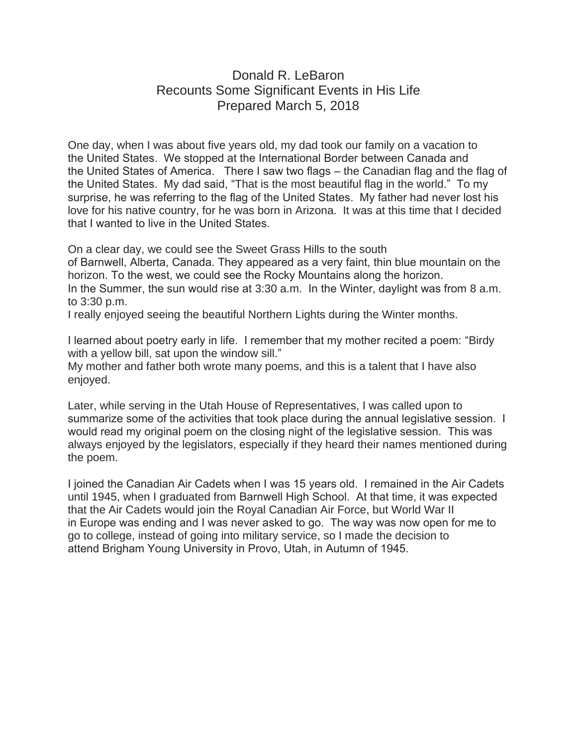## Donald R. LeBaron Recounts Some Significant Events in His Life Prepared March 5, 2018

One day, when I was about five years old, my dad took our family on a vacation to the United States. We stopped at the International Border between Canada and the United States of America. There I saw two flags – the Canadian flag and the flag of the United States. My dad said, "That is the most beautiful flag in the world." To my surprise, he was referring to the flag of the United States. My father had never lost his love for his native country, for he was born in Arizona. It was at this time that I decided that I wanted to live in the United States.

On a clear day, we could see the Sweet Grass Hills to the south of Barnwell, Alberta, Canada. They appeared as a very faint, thin blue mountain on the horizon. To the west, we could see the Rocky Mountains along the horizon. In the Summer, the sun would rise at 3:30 a.m. In the Winter, daylight was from 8 a.m. to 3:30 p.m.

I really enjoyed seeing the beautiful Northern Lights during the Winter months.

I learned about poetry early in life. I remember that my mother recited a poem: "Birdy with a yellow bill, sat upon the window sill."

My mother and father both wrote many poems, and this is a talent that I have also enjoyed.

Later, while serving in the Utah House of Representatives, I was called upon to summarize some of the activities that took place during the annual legislative session. I would read my original poem on the closing night of the legislative session. This was always enjoyed by the legislators, especially if they heard their names mentioned during the poem.

I joined the Canadian Air Cadets when I was 15 years old. I remained in the Air Cadets until 1945, when I graduated from Barnwell High School. At that time, it was expected that the Air Cadets would join the Royal Canadian Air Force, but World War II in Europe was ending and I was never asked to go. The way was now open for me to go to college, instead of going into military service, so I made the decision to attend Brigham Young University in Provo, Utah, in Autumn of 1945.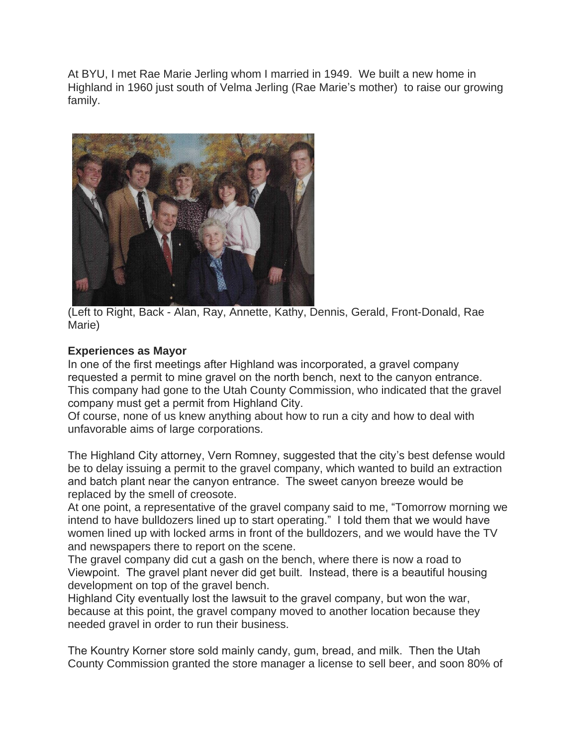At BYU, I met Rae Marie Jerling whom I married in 1949. We built a new home in Highland in 1960 just south of Velma Jerling (Rae Marie's mother) to raise our growing family.



(Left to Right, Back - Alan, Ray, Annette, Kathy, Dennis, Gerald, Front-Donald, Rae Marie)

## **Experiences as Mayor**

In one of the first meetings after Highland was incorporated, a gravel company requested a permit to mine gravel on the north bench, next to the canyon entrance. This company had gone to the Utah County Commission, who indicated that the gravel company must get a permit from Highland City.

Of course, none of us knew anything about how to run a city and how to deal with unfavorable aims of large corporations.

The Highland City attorney, Vern Romney, suggested that the city's best defense would be to delay issuing a permit to the gravel company, which wanted to build an extraction and batch plant near the canyon entrance. The sweet canyon breeze would be replaced by the smell of creosote.

At one point, a representative of the gravel company said to me, "Tomorrow morning we intend to have bulldozers lined up to start operating." I told them that we would have women lined up with locked arms in front of the bulldozers, and we would have the TV and newspapers there to report on the scene.

The gravel company did cut a gash on the bench, where there is now a road to Viewpoint. The gravel plant never did get built. Instead, there is a beautiful housing development on top of the gravel bench.

Highland City eventually lost the lawsuit to the gravel company, but won the war, because at this point, the gravel company moved to another location because they needed gravel in order to run their business.

The Kountry Korner store sold mainly candy, gum, bread, and milk. Then the Utah County Commission granted the store manager a license to sell beer, and soon 80% of